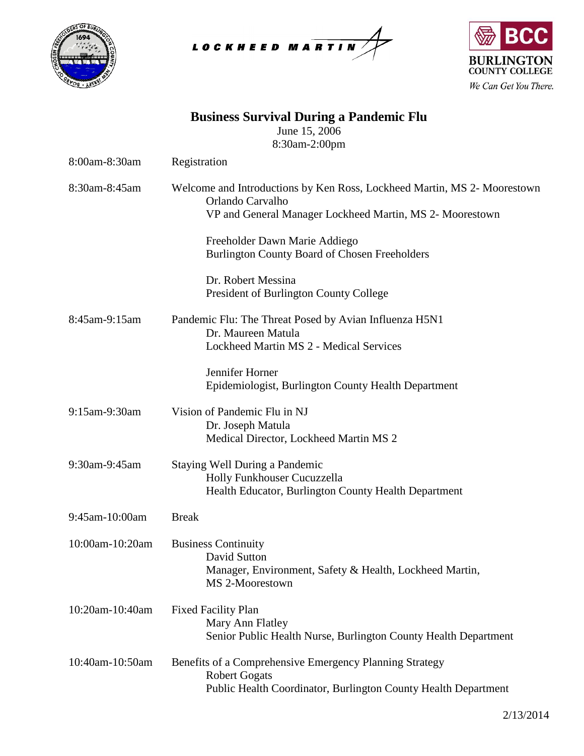





| <b>Business Survival During a Pandemic Flu</b><br>June 15, 2006<br>8:30am-2:00pm |                                                                                                                                                          |  |
|----------------------------------------------------------------------------------|----------------------------------------------------------------------------------------------------------------------------------------------------------|--|
| 8:00am-8:30am                                                                    | Registration                                                                                                                                             |  |
| 8:30am-8:45am                                                                    | Welcome and Introductions by Ken Ross, Lockheed Martin, MS 2- Moorestown<br>Orlando Carvalho<br>VP and General Manager Lockheed Martin, MS 2- Moorestown |  |
|                                                                                  | Freeholder Dawn Marie Addiego<br><b>Burlington County Board of Chosen Freeholders</b>                                                                    |  |
|                                                                                  | Dr. Robert Messina<br>President of Burlington County College                                                                                             |  |
| 8:45am-9:15am                                                                    | Pandemic Flu: The Threat Posed by Avian Influenza H5N1<br>Dr. Maureen Matula<br>Lockheed Martin MS 2 - Medical Services                                  |  |
|                                                                                  | Jennifer Horner<br>Epidemiologist, Burlington County Health Department                                                                                   |  |
| 9:15am-9:30am                                                                    | Vision of Pandemic Flu in NJ<br>Dr. Joseph Matula<br>Medical Director, Lockheed Martin MS 2                                                              |  |
| 9:30am-9:45am                                                                    | Staying Well During a Pandemic<br>Holly Funkhouser Cucuzzella<br>Health Educator, Burlington County Health Department                                    |  |
| 9:45am-10:00am                                                                   | <b>Break</b>                                                                                                                                             |  |
| 10:00am-10:20am                                                                  | <b>Business Continuity</b><br>David Sutton<br>Manager, Environment, Safety & Health, Lockheed Martin,<br>MS 2-Moorestown                                 |  |
| 10:20am-10:40am                                                                  | <b>Fixed Facility Plan</b><br>Mary Ann Flatley<br>Senior Public Health Nurse, Burlington County Health Department                                        |  |
| 10:40am-10:50am                                                                  | Benefits of a Comprehensive Emergency Planning Strategy<br><b>Robert Gogats</b><br>Public Health Coordinator, Burlington County Health Department        |  |